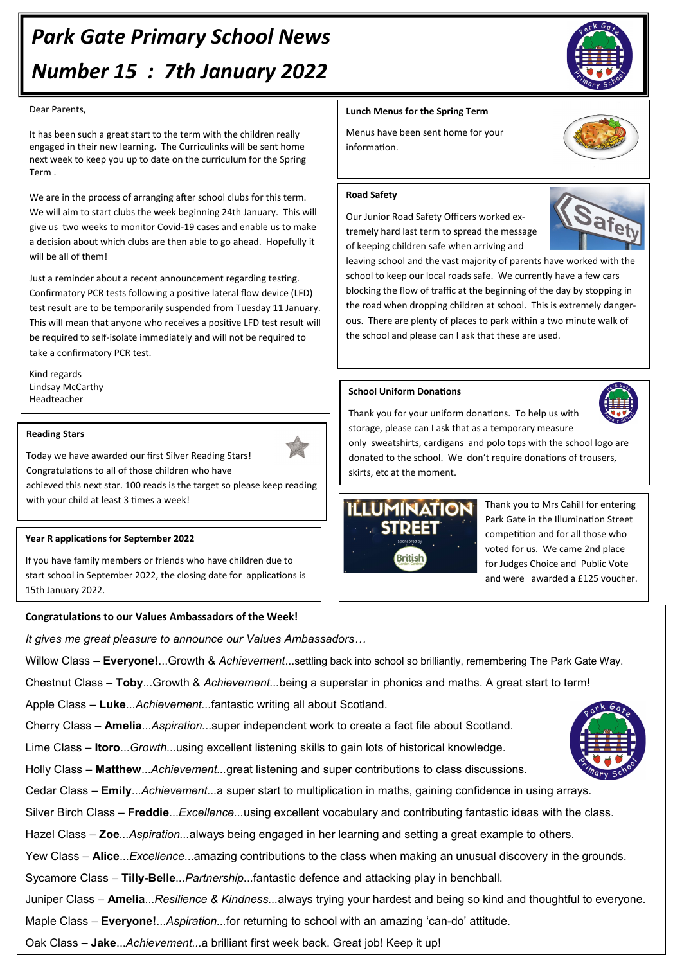# *Park Gate Primary School News Number 15 : 7th January 2022*

#### Dear Parents,

It has been such a great start to the term with the children really engaged in their new learning. The Curriculinks will be sent home next week to keep you up to date on the curriculum for the Spring Term .

We are in the process of arranging after school clubs for this term. We will aim to start clubs the week beginning 24th January. This will give us two weeks to monitor Covid-19 cases and enable us to make a decision about which clubs are then able to go ahead. Hopefully it will be all of them!

Just a reminder about a recent announcement regarding testing. Confirmatory PCR tests following a positive lateral flow device (LFD) test result are to be temporarily suspended from Tuesday 11 January. This will mean that anyone who receives a positive LFD test result will be required to self-isolate immediately and will not be required to take a confirmatory PCR test.

Kind regards Lindsay McCarthy Headteacher

## **Reading Stars**

Today we have awarded our first Silver Reading Stars! Congratulations to all of those children who have

achieved this next star. 100 reads is the target so please keep reading with your child at least 3 times a week!

## **Year R applications for September 2022**

If you have family members or friends who have children due to start school in September 2022, the closing date for applications is 15th January 2022.

# **Congratulations to our Values Ambassadors of the Week!**

*It gives me great pleasure to announce our Values Ambassadors…*

Willow Class – **Everyone!**...Growth & *Achievement*...settling back into school so brilliantly, remembering The Park Gate Way.

Chestnut Class – **Toby**...Growth & *Achievement...*being a superstar in phonics and maths. A great start to term!

Apple Class – **Luke**...*Achievement...*fantastic writing all about Scotland.

Cherry Class – **Amelia**...*Aspiration...*super independent work to create a fact file about Scotland.

Lime Class – **Itoro**...*Growth...*using excellent listening skills to gain lots of historical knowledge.

Holly Class – **Matthew**...*Achievement...*great listening and super contributions to class discussions.

Cedar Class – **Emily**...*Achievement...*a super start to multiplication in maths, gaining confidence in using arrays.

Silver Birch Class – **Freddie**...*Excellence...*using excellent vocabulary and contributing fantastic ideas with the class.

Hazel Class *–* **Zoe***...Aspiration...*always being engaged in her learning and setting a great example to others.

Yew Class – **Alice**...*Excellence*...amazing contributions to the class when making an unusual discovery in the grounds.

Sycamore Class – **Tilly-Belle**...*Partnership*...fantastic defence and attacking play in benchball.

Juniper Class – **Amelia**...*Resilience & Kindness...*always trying your hardest and being so kind and thoughtful to everyone.

Maple Class – **Everyone!**...*Aspiration...*for returning to school with an amazing 'can-do' attitude.

Oak Class – **Jake**...*Achievement...*a brilliant first week back. Great job! Keep it up!

# **Lunch Menus for the Spring Term**

Menus have been sent home for your information.

## **Road Safety**

Our Junior Road Safety Officers worked extremely hard last term to spread the message of keeping children safe when arriving and

leaving school and the vast majority of parents have worked with the school to keep our local roads safe. We currently have a few cars blocking the flow of traffic at the beginning of the day by stopping in the road when dropping children at school. This is extremely dangerous. There are plenty of places to park within a two minute walk of the school and please can I ask that these are used.

# **School Uniform Donations**

Thank you for your uniform donations. To help us with storage, please can I ask that as a temporary measure

only sweatshirts, cardigans and polo tops with the school logo are donated to the school. We don't require donations of trousers, skirts, etc at the moment.



Thank you to Mrs Cahill for entering Park Gate in the Illumination Street competition and for all those who voted for us. We came 2nd place for Judges Choice and Public Vote and were awarded a £125 voucher.